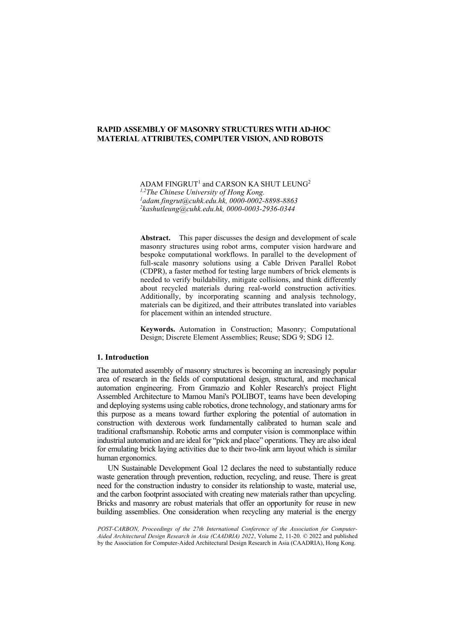ADAM  $FINGRUT<sup>1</sup>$  and CARSON KA SHUT LEUNG<sup>2</sup> <sup>1,2</sup>The Chinese University of Hong Kong. *[adam.fingrut@cuhk.edu.hk,](mailto:adam.fingrut@cuhk.edu.hk) 0000-0002-8898-8863 2 [kashutleung@cuhk.edu.hk,](mailto:kashutleung@cuhk.edu.hk) 0000-0003-2936-0344*

**Abstract.** This paper discusses the design and development of scale masonry structures using robot arms, computer vision hardware and bespoke computational workflows. In parallel to the development of full-scale masonry solutions using a Cable Driven Parallel Robot (CDPR), a faster method for testing large numbers of brick elements is needed to verify buildability, mitigate collisions, and think differently about recycled materials during real-world construction activities. Additionally, by incorporating scanning and analysis technology, materials can be digitized, and their attributes translated into variables for placement within an intended structure.

**Keywords.** Automation in Construction; Masonry; Computational Design; Discrete Element Assemblies; Reuse; SDG 9; SDG 12.

### **1. Introduction**

The automated assembly of masonry structures is becoming an increasingly popular area of research in the fields of computational design, structural, and mechanical automation engineering. From Gramazio and Kohler Research's project Flight Assembled Architecture to Mamou Mani's POLIBOT, teams have been developing and deploying systems using cable robotics, drone technology, and stationary arms for this purpose as a means toward further exploring the potential of automation in construction with dexterous work fundamentally calibrated to human scale and traditional craftsmanship. Robotic arms and computer vision is commonplace within industrial automation and are ideal for "pick and place" operations. They are also ideal for emulating brick laying activities due to their two-link arm layout which is similar human ergonomics.

UN Sustainable Development Goal 12 declares the need to substantially reduce waste generation through prevention, reduction, recycling, and reuse. There is great need for the construction industry to consider its relationship to waste, material use, and the carbon footprint associated with creating new materials rather than upcycling. Bricks and masonry are robust materials that offer an opportunity for reuse in new building assemblies. One consideration when recycling any material is the energy

*POST-CARBON, Proceedings of the 27th International Conference of the Association for Computer-Aided Architectural Design Research in Asia (CAADRIA) 2022*, Volume 2, 11-20. © 2022 and published by the Association for Computer-Aided Architectural Design Research in Asia (CAADRIA), Hong Kong.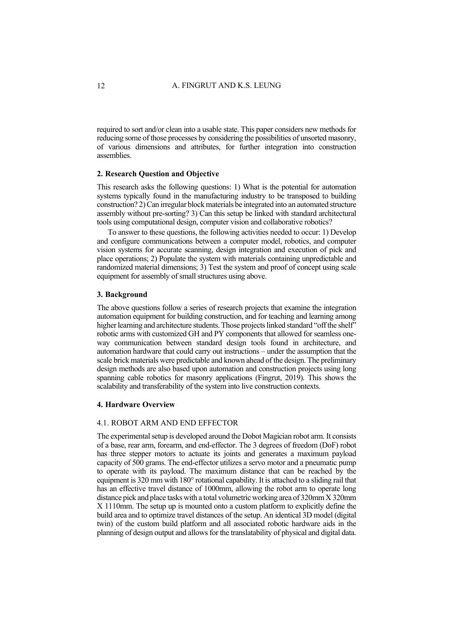required to sort and/or clean into a usable state. This paper considers new methods for reducing some of those processes by considering the possibilities of unsorted masonry, of various dimensions and attributes, for further integration into construction assemblies.

#### **2. Research Question and Objective**

This research asks the following questions: 1) What is the potential for automation systems typically found in the manufacturing industry to be transposed to building construction? 2) Can irregular block materials be integrated into an automated structure assembly without pre-sorting? 3) Can this setup be linked with standard architectural tools using computational design, computer vision and collaborative robotics?

To answer to these questions, the following activities needed to occur: 1) Develop and configure communications between a computer model, robotics, and computer vision systems for accurate scanning, design integration and execution of pick and place operations; 2) Populate the system with materials containing unpredictable and randomized material dimensions; 3) Test the system and proof of concept using scale equipment for assembly of small structures using above.

#### **3. Background**

The above questions follow a series of research projects that examine the integration automation equipment for building construction, and for teaching and learning among higher learning and architecture students. Those projects linked standard "off the shelf" robotic arms with customized GH and PY components that allowed for seamless oneway communication between standard design tools found in architecture, and automation hardware that could carry out instructions – under the assumption that the scale brick materials were predictable and known ahead of the design. The preliminary design methods are also based upon automation and construction projects using long spanning cable robotics for masonry applications (Fingrut, 2019). This shows the scalability and transferability of the system into live construction contexts.

#### **4. Hardware Overview**

## 4.1. ROBOT ARM AND END EFFECTOR

The experimental setup is developed around the Dobot Magician robot arm. It consists of a base, rear arm, forearm, and end-effector. The 3 degrees of freedom (DoF) robot has three stepper motors to actuate its joints and generates a maximum payload capacity of 500 grams. The end-effector utilizes a servo motor and a pneumatic pump to operate with its payload. The maximum distance that can be reached by the equipment is 320 mm with 180° rotational capability. It is attached to a sliding rail that has an effective travel distance of 1000mm, allowing the robot arm to operate long distance pick and place tasks with a total volumetric working area of 320mm X 320mm X 1110mm. The setup up is mounted onto a custom platform to explicitly define the build area and to optimize travel distances of the setup. An identical 3D model (digital twin) of the custom build platform and all associated robotic hardware aids in the planning of design output and allows for the translatability of physical and digital data.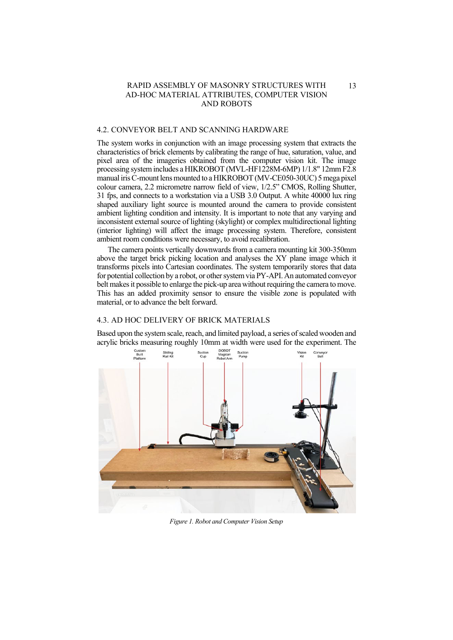### 4.2. CONVEYOR BELT AND SCANNING HARDWARE

The system works in conjunction with an image processing system that extracts the characteristics of brick elements by calibrating the range of hue, saturation, value, and pixel area of the imageries obtained from the computer vision kit. The image processing system includes a HIKROBOT (MVL-HF1228M-6MP) 1/1.8" 12mm F2.8 manual iris C-mount lens mounted to a HIKROBOT (MV-CE050-30UC) 5 mega pixel colour camera, 2.2 micrometre narrow field of view, 1/2.5" CMOS, Rolling Shutter, 31 fps, and connects to a workstation via a USB 3.0 Output. A white 40000 lux ring shaped auxiliary light source is mounted around the camera to provide consistent ambient lighting condition and intensity. It is important to note that any varying and inconsistent external source of lighting (skylight) or complex multidirectional lighting (interior lighting) will affect the image processing system. Therefore, consistent ambient room conditions were necessary, to avoid recalibration.

The camera points vertically downwards from a camera mounting kit 300-350mm above the target brick picking location and analyses the XY plane image which it transforms pixels into Cartesian coordinates. The system temporarily stores that data for potential collection by a robot, or other system via PY-API. An automated conveyor belt makes it possible to enlarge the pick-up area without requiring the camera to move. This has an added proximity sensor to ensure the visible zone is populated with material, or to advance the belt forward.

# 4.3. AD HOC DELIVERY OF BRICK MATERIALS

Based upon the system scale, reach, and limited payload, a series of scaled wooden and acrylic bricks measuring roughly 10mm at width were used for the experiment. The



*Figure 1. Robot and Computer Vision Setup*

13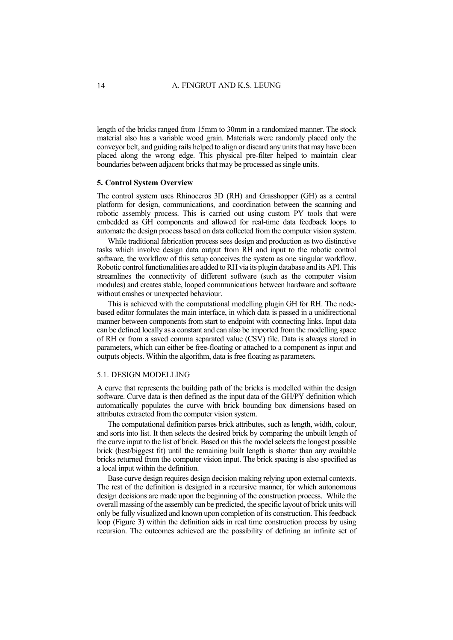length of the bricks ranged from 15mm to 30mm in a randomized manner. The stock material also has a variable wood grain. Materials were randomly placed only the conveyor belt, and guiding rails helped to align or discard any units that may have been placed along the wrong edge. This physical pre-filter helped to maintain clear boundaries between adjacent bricks that may be processed as single units.

### **5. Control System Overview**

The control system uses Rhinoceros 3D (RH) and Grasshopper (GH) as a central platform for design, communications, and coordination between the scanning and robotic assembly process. This is carried out using custom PY tools that were embedded as GH components and allowed for real-time data feedback loops to automate the design process based on data collected from the computer vision system.

While traditional fabrication process sees design and production as two distinctive tasks which involve design data output from RH and input to the robotic control software, the workflow of this setup conceives the system as one singular workflow. Robotic control functionalities are added to RH via its plugin database and its API. This streamlines the connectivity of different software (such as the computer vision modules) and creates stable, looped communications between hardware and software without crashes or unexpected behaviour.

This is achieved with the computational modelling plugin GH for RH. The nodebased editor formulates the main interface, in which data is passed in a unidirectional manner between components from start to endpoint with connecting links. Input data can be defined locally as a constant and can also be imported from the modelling space of RH or from a saved comma separated value (CSV) file. Data is always stored in parameters, which can either be free-floating or attached to a component as input and outputs objects. Within the algorithm, data is free floating as parameters.

### 5.1. DESIGN MODELLING

A curve that represents the building path of the bricks is modelled within the design software. Curve data is then defined as the input data of the GH/PY definition which automatically populates the curve with brick bounding box dimensions based on attributes extracted from the computer vision system.

The computational definition parses brick attributes, such as length, width, colour, and sorts into list. It then selects the desired brick by comparing the unbuilt length of the curve input to the list of brick. Based on this the model selects the longest possible brick (best/biggest fit) until the remaining built length is shorter than any available bricks returned from the computer vision input. The brick spacing is also specified as a local input within the definition.

Base curve design requires design decision making relying upon external contexts. The rest of the definition is designed in a recursive manner, for which autonomous design decisions are made upon the beginning of the construction process. While the overall massing of the assembly can be predicted, the specific layout of brick units will only be fully visualized and known upon completion of its construction. This feedback loop (Figure 3) within the definition aids in real time construction process by using recursion. The outcomes achieved are the possibility of defining an infinite set of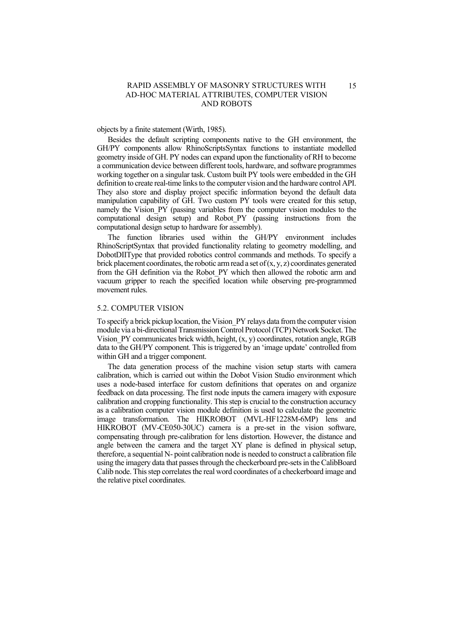objects by a finite statement (Wirth, 1985).

Besides the default scripting components native to the GH environment, the GH/PY components allow RhinoScriptsSyntax functions to instantiate modelled geometry inside of GH. PY nodes can expand upon the functionality of RH to become a communication device between different tools, hardware, and software programmes working together on a singular task. Custom built PY tools were embedded in the GH definition to create real-time links to the computer vision and the hardware control API. They also store and display project specific information beyond the default data manipulation capability of GH. Two custom PY tools were created for this setup, namely the Vision PY (passing variables from the computer vision modules to the computational design setup) and Robot\_PY (passing instructions from the computational design setup to hardware for assembly).

The function libraries used within the GH/PY environment includes RhinoScriptSyntax that provided functionality relating to geometry modelling, and DobotDIIType that provided robotics control commands and methods. To specify a brick placement coordinates, the robotic arm read a set of  $(x, y, z)$  coordinates generated from the GH definition via the Robot\_PY which then allowed the robotic arm and vacuum gripper to reach the specified location while observing pre-programmed movement rules.

### 5.2. COMPUTER VISION

To specify a brick pickup location, the Vision\_PY relays data from the computer vision module via a bi-directional Transmission Control Protocol (TCP) Network Socket. The Vision  $PY$  communicates brick width, height,  $(x, y)$  coordinates, rotation angle, RGB data to the GH/PY component. This is triggered by an 'image update' controlled from within GH and a trigger component.

The data generation process of the machine vision setup starts with camera calibration, which is carried out within the Dobot Vision Studio environment which uses a node-based interface for custom definitions that operates on and organize feedback on data processing. The first node inputs the camera imagery with exposure calibration and cropping functionality. This step is crucial to the construction accuracy as a calibration computer vision module definition is used to calculate the geometric image transformation. The HIKROBOT (MVL-HF1228M-6MP) lens and HIKROBOT (MV-CE050-30UC) camera is a pre-set in the vision software, compensating through pre-calibration for lens distortion. However, the distance and angle between the camera and the target XY plane is defined in physical setup, therefore, a sequential N- point calibration node is needed to construct a calibration file using the imagery data that passes through the checkerboard pre-sets in the CalibBoard Calib node. This step correlates the real word coordinates of a checkerboard image and the relative pixel coordinates.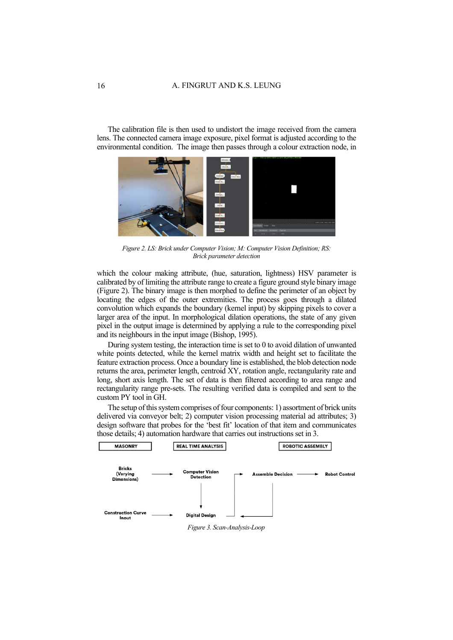The calibration file is then used to undistort the image received from the camera lens. The connected camera image exposure, pixel format is adjusted according to the environmental condition. The image then passes through a colour extraction node, in



*Figure 2. LS: Brick under Computer Vision; M: Computer Vision Definition; RS: Brick parameter detection*

which the colour making attribute, (hue, saturation, lightness) HSV parameter is calibrated by of limiting the attribute range to create a figure ground style binary image (Figure 2). The binary image is then morphed to define the perimeter of an object by locating the edges of the outer extremities. The process goes through a dilated convolution which expands the boundary (kernel input) by skipping pixels to cover a larger area of the input. In morphological dilation operations, the state of any given pixel in the output image is determined by applying a rule to the corresponding pixel and its neighbours in the input image (Bishop, 1995).

During system testing, the interaction time is set to 0 to avoid dilation of unwanted white points detected, while the kernel matrix width and height set to facilitate the feature extraction process. Once a boundary line is established, the blob detection node returns the area, perimeter length, centroid XY, rotation angle, rectangularity rate and long, short axis length. The set of data is then filtered according to area range and rectangularity range pre-sets. The resulting verified data is compiled and sent to the custom PY tool in GH.

The setup of this system comprises of four components: 1) assortment of brick units delivered via conveyor belt; 2) computer vision processing material ad attributes; 3) design software that probes for the 'best fit' location of that item and communicates those details; 4) automation hardware that carries out instructions set in 3.

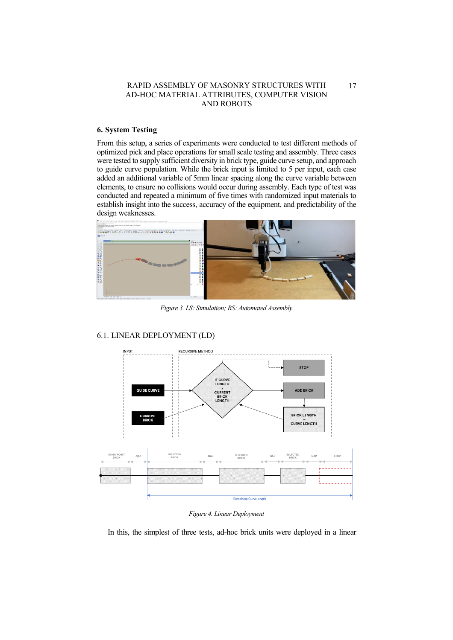# **6. System Testing**

From this setup, a series of experiments were conducted to test different methods of optimized pick and place operations for small scale testing and assembly. Three cases were tested to supply sufficient diversity in brick type, guide curve setup, and approach to guide curve population. While the brick input is limited to 5 per input, each case added an additional variable of 5mm linear spacing along the curve variable between elements, to ensure no collisions would occur during assembly. Each type of test was conducted and repeated a minimum of five times with randomized input materials to establish insight into the success, accuracy of the equipment, and predictability of the design weaknesses.



*Figure 3. LS: Simulation; RS: Automated Assembly*



# 6.1. LINEAR DEPLOYMENT (LD)

*Figure 4. Linear Deployment* 

In this, the simplest of three tests, ad-hoc brick units were deployed in a linear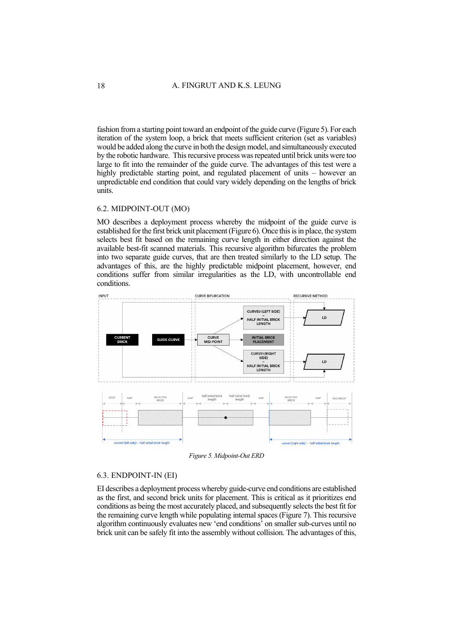fashion from a starting point toward an endpoint of the guide curve (Figure 5). For each iteration of the system loop, a brick that meets sufficient criterion (set as variables) would be added along the curve in both the design model, and simultaneously executed by the robotic hardware. This recursive process was repeated until brick units were too large to fit into the remainder of the guide curve. The advantages of this test were a highly predictable starting point, and regulated placement of units – however an unpredictable end condition that could vary widely depending on the lengths of brick units.

### 6.2. MIDPOINT-OUT (MO)

MO describes a deployment process whereby the midpoint of the guide curve is established for the first brick unit placement (Figure 6). Once this is in place, the system selects best fit based on the remaining curve length in either direction against the available best-fit scanned materials. This recursive algorithm bifurcates the problem into two separate guide curves, that are then treated similarly to the LD setup. The advantages of this, are the highly predictable midpoint placement, however, end conditions suffer from similar irregularities as the LD, with uncontrollable end conditions.



*Figure 5. Midpoint-Out ERD*

# 6.3. ENDPOINT-IN (EI)

EI describes a deployment process whereby guide-curve end conditions are established as the first, and second brick units for placement. This is critical as it prioritizes end conditions as being the most accurately placed, and subsequently selects the best fit for the remaining curve length while populating internal spaces (Figure 7). This recursive algorithm continuously evaluates new 'end conditions' on smaller sub-curves until no brick unit can be safely fit into the assembly without collision. The advantages of this,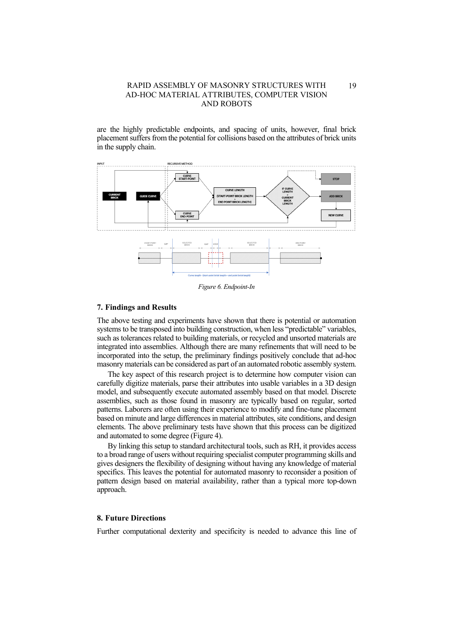are the highly predictable endpoints, and spacing of units, however, final brick placement suffers from the potential for collisions based on the attributes of brick units in the supply chain.



*Figure 6. Endpoint-In*

#### **7. Findings and Results**

The above testing and experiments have shown that there is potential or automation systems to be transposed into building construction, when less "predictable" variables, such as tolerances related to building materials, or recycled and unsorted materials are integrated into assemblies. Although there are many refinements that will need to be incorporated into the setup, the preliminary findings positively conclude that ad-hoc masonry materials can be considered as part of an automated robotic assembly system.

The key aspect of this research project is to determine how computer vision can carefully digitize materials, parse their attributes into usable variables in a 3D design model, and subsequently execute automated assembly based on that model. Discrete assemblies, such as those found in masonry are typically based on regular, sorted patterns. Laborers are often using their experience to modify and fine-tune placement based on minute and large differences in material attributes, site conditions, and design elements. The above preliminary tests have shown that this process can be digitized and automated to some degree (Figure 4).

By linking this setup to standard architectural tools, such as RH, it provides access to a broad range of users without requiring specialist computer programming skills and gives designers the flexibility of designing without having any knowledge of material specifics. This leaves the potential for automated masonry to reconsider a position of pattern design based on material availability, rather than a typical more top-down approach.

### **8. Future Directions**

Further computational dexterity and specificity is needed to advance this line of